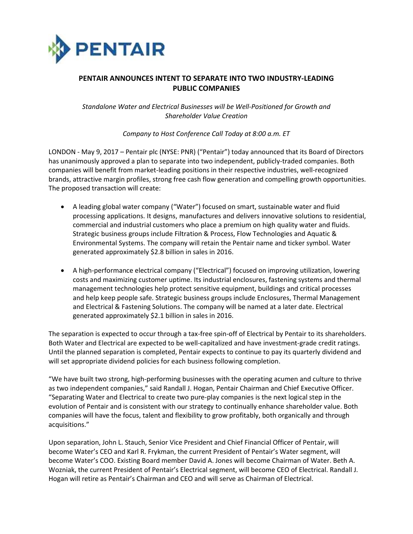

# **PENTAIR ANNOUNCES INTENT TO SEPARATE INTO TWO INDUSTRY-LEADING PUBLIC COMPANIES**

*Standalone Water and Electrical Businesses will be Well-Positioned for Growth and Shareholder Value Creation*

*Company to Host Conference Call Today at 8:00 a.m. ET*

LONDON - May 9, 2017 – Pentair plc (NYSE: PNR) ("Pentair") today announced that its Board of Directors has unanimously approved a plan to separate into two independent, publicly-traded companies. Both companies will benefit from market-leading positions in their respective industries, well-recognized brands, attractive margin profiles, strong free cash flow generation and compelling growth opportunities. The proposed transaction will create:

- A leading global water company ("Water") focused on smart, sustainable water and fluid processing applications. It designs, manufactures and delivers innovative solutions to residential, commercial and industrial customers who place a premium on high quality water and fluids. Strategic business groups include Filtration & Process, Flow Technologies and Aquatic & Environmental Systems. The company will retain the Pentair name and ticker symbol. Water generated approximately \$2.8 billion in sales in 2016.
- A high-performance electrical company ("Electrical") focused on improving utilization, lowering costs and maximizing customer uptime. Its industrial enclosures, fastening systems and thermal management technologies help protect sensitive equipment, buildings and critical processes and help keep people safe. Strategic business groups include Enclosures, Thermal Management and Electrical & Fastening Solutions. The company will be named at a later date. Electrical generated approximately \$2.1 billion in sales in 2016.

The separation is expected to occur through a tax-free spin-off of Electrical by Pentair to its shareholders. Both Water and Electrical are expected to be well-capitalized and have investment-grade credit ratings. Until the planned separation is completed, Pentair expects to continue to pay its quarterly dividend and will set appropriate dividend policies for each business following completion.

"We have built two strong, high-performing businesses with the operating acumen and culture to thrive as two independent companies," said Randall J. Hogan, Pentair Chairman and Chief Executive Officer. "Separating Water and Electrical to create two pure-play companies is the next logical step in the evolution of Pentair and is consistent with our strategy to continually enhance shareholder value. Both companies will have the focus, talent and flexibility to grow profitably, both organically and through acquisitions."

Upon separation, John L. Stauch, Senior Vice President and Chief Financial Officer of Pentair, will become Water's CEO and Karl R. Frykman, the current President of Pentair's Water segment, will become Water's COO. Existing Board member David A. Jones will become Chairman of Water. Beth A. Wozniak, the current President of Pentair's Electrical segment, will become CEO of Electrical. Randall J. Hogan will retire as Pentair's Chairman and CEO and will serve as Chairman of Electrical.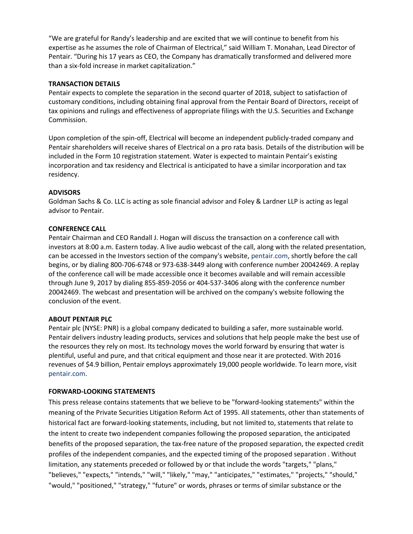"We are grateful for Randy's leadership and are excited that we will continue to benefit from his expertise as he assumes the role of Chairman of Electrical," said William T. Monahan, Lead Director of Pentair. "During his 17 years as CEO, the Company has dramatically transformed and delivered more than a six-fold increase in market capitalization."

# **TRANSACTION DETAILS**

Pentair expects to complete the separation in the second quarter of 2018, subject to satisfaction of customary conditions, including obtaining final approval from the Pentair Board of Directors, receipt of tax opinions and rulings and effectiveness of appropriate filings with the U.S. Securities and Exchange Commission.

Upon completion of the spin-off, Electrical will become an independent publicly-traded company and Pentair shareholders will receive shares of Electrical on a pro rata basis. Details of the distribution will be included in the Form 10 registration statement. Water is expected to maintain Pentair's existing incorporation and tax residency and Electrical is anticipated to have a similar incorporation and tax residency.

## **ADVISORS**

Goldman Sachs & Co. LLC is acting as sole financial advisor and Foley & Lardner LLP is acting as legal advisor to Pentair.

## **CONFERENCE CALL**

Pentair Chairman and CEO Randall J. Hogan will discuss the transaction on a conference call with investors at 8:00 a.m. Eastern today. A live audio webcast of the call, along with the related presentation, can be accessed in the Investors section of the company's website, [pentair.com,](http://www.pentair.com/) shortly before the call begins, or by dialing 800-706-6748 or 973-638-3449 along with conference number 20042469. A replay of the conference call will be made accessible once it becomes available and will remain accessible through June 9, 2017 by dialing 855-859-2056 or 404-537-3406 along with the conference number 20042469. The webcast and presentation will be archived on the company's website following the conclusion of the event.

# **ABOUT PENTAIR PLC**

Pentair plc (NYSE: PNR) is a global company dedicated to building a safer, more sustainable world. Pentair delivers industry leading products, services and solutions that help people make the best use of the resources they rely on most. Its technology moves the world forward by ensuring that water is plentiful, useful and pure, and that critical equipment and those near it are protected. With 2016 revenues of \$4.9 billion, Pentair employs approximately 19,000 people worldwide. To learn more, visit [pentair.com.](http://www.pentair.com/)

#### **FORWARD-LOOKING STATEMENTS**

This press release contains statements that we believe to be "forward-looking statements" within the meaning of the Private Securities Litigation Reform Act of 1995. All statements, other than statements of historical fact are forward-looking statements, including, but not limited to, statements that relate to the intent to create two independent companies following the proposed separation, the anticipated benefits of the proposed separation, the tax-free nature of the proposed separation, the expected credit profiles of the independent companies, and the expected timing of the proposed separation . Without limitation, any statements preceded or followed by or that include the words "targets," "plans," "believes," "expects," "intends," "will," "likely," "may," "anticipates," "estimates," "projects," "should," "would," "positioned," "strategy," "future" or words, phrases or terms of similar substance or the